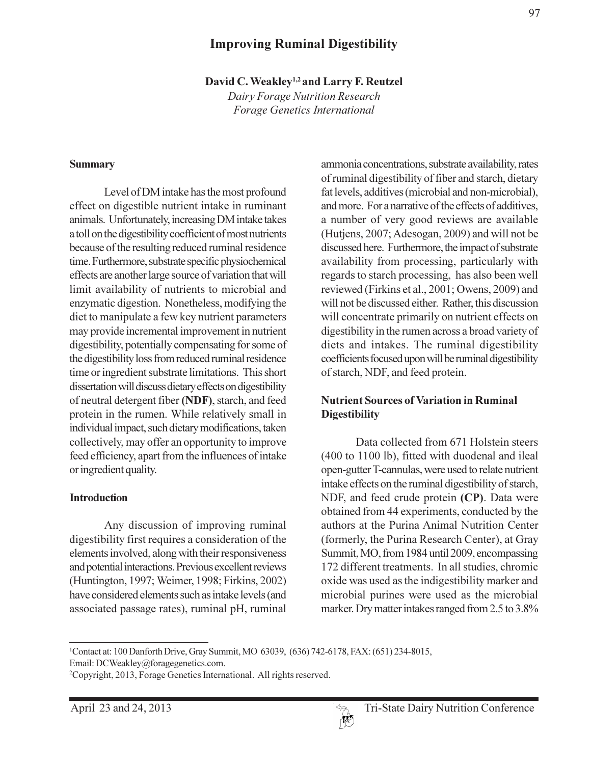# **Improving Ruminal Digestibility**

David C. Weakley<sup>1,2</sup> and Larry F. Reutzel

Dairy Forage Nutrition Research Forage Genetics International

#### **Summary**

Level of DM intake has the most profound effect on digestible nutrient intake in ruminant animals. Unfortunately, increasing DM intake takes a toll on the digestibility coefficient of most nutrients because of the resulting reduced ruminal residence time. Furthermore, substrate specific physiochemical effects are another large source of variation that will limit availability of nutrients to microbial and enzymatic digestion. Nonetheless, modifying the diet to manipulate a few key nutrient parameters may provide incremental improvement in nutrient digestibility, potentially compensating for some of the digestibility loss from reduced ruminal residence time or ingredient substrate limitations. This short dissertation will discuss dietary effects on digestibility of neutral detergent fiber (NDF), starch, and feed protein in the rumen. While relatively small in individual impact, such dietary modifications, taken collectively, may offer an opportunity to improve feed efficiency, apart from the influences of intake or ingredient quality.

#### **Introduction**

Any discussion of improving ruminal digestibility first requires a consideration of the elements involved, along with their responsiveness and potential interactions. Previous excellent reviews (Huntington, 1997; Weimer, 1998; Firkins, 2002) have considered elements such as intake levels (and associated passage rates), ruminal pH, ruminal

ammonia concentrations, substrate availability, rates of ruminal digestibility of fiber and starch, dietary fat levels, additives (microbial and non-microbial), and more. For a narrative of the effects of additives, a number of very good reviews are available (Hutjens, 2007; Adesogan, 2009) and will not be discussed here. Furthermore, the impact of substrate availability from processing, particularly with regards to starch processing, has also been well reviewed (Firkins et al., 2001; Owens, 2009) and will not be discussed either. Rather, this discussion will concentrate primarily on nutrient effects on digestibility in the rumen across a broad variety of diets and intakes. The ruminal digestibility coefficients focused upon will be ruminal digestibility of starch, NDF, and feed protein.

### **Nutrient Sources of Variation in Ruminal Digestibility**

Data collected from 671 Holstein steers (400 to 1100 lb), fitted with duodenal and ileal open-gutter T-cannulas, were used to relate nutrient intake effects on the ruminal digestibility of starch, NDF, and feed crude protein (CP). Data were obtained from 44 experiments, conducted by the authors at the Purina Animal Nutrition Center (formerly, the Purina Research Center), at Gray Summit, MO, from 1984 until 2009, encompassing 172 different treatments. In all studies, chromic oxide was used as the indigestibility marker and microbial purines were used as the microbial marker. Dry matter intakes ranged from 2.5 to 3.8%

<sup>&</sup>lt;sup>1</sup>Contact at: 100 Danforth Drive, Gray Summit, MO 63039, (636) 742-6178, FAX: (651) 234-8015, Email: DCWeakley@foragegenetics.com.

<sup>&</sup>lt;sup>2</sup>Copyright, 2013, Forage Genetics International. All rights reserved.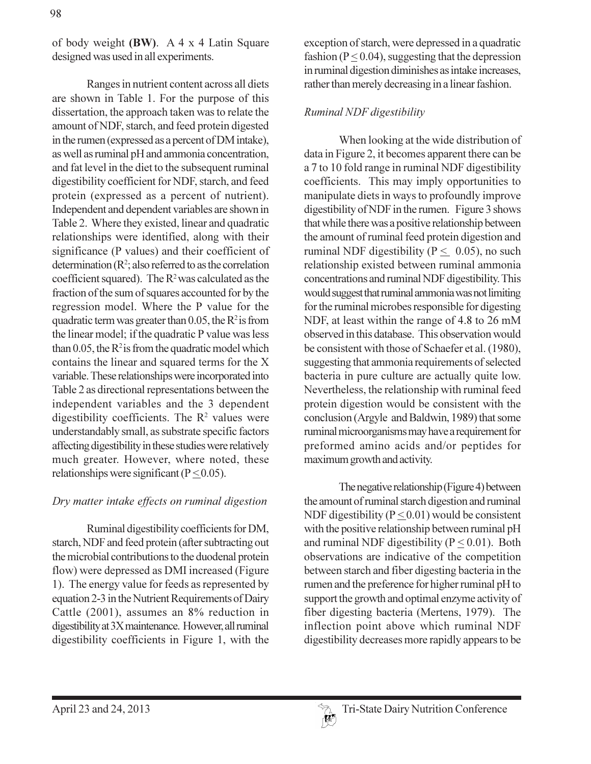of body weight (BW). A 4 x 4 Latin Square designed was used in all experiments.

Ranges in nutrient content across all diets are shown in Table 1. For the purpose of this dissertation, the approach taken was to relate the amount of NDF, starch, and feed protein digested in the rumen (expressed as a percent of DM intake), as well as ruminal pH and ammonia concentration, and fat level in the diet to the subsequent ruminal digestibility coefficient for NDF, starch, and feed protein (expressed as a percent of nutrient). Independent and dependent variables are shown in Table 2. Where they existed, linear and quadratic relationships were identified, along with their significance (P values) and their coefficient of determination  $(R^2)$ ; also referred to as the correlation coefficient squared). The  $R^2$  was calculated as the fraction of the sum of squares accounted for by the regression model. Where the P value for the quadratic term was greater than 0.05, the  $R^2$  is from the linear model; if the quadratic P value was less than 0.05, the  $R^2$  is from the quadratic model which contains the linear and squared terms for the X variable. These relationships were incorporated into Table 2 as directional representations between the independent variables and the 3 dependent digestibility coefficients. The  $R^2$  values were understandably small, as substrate specific factors affecting digestibility in these studies were relatively much greater. However, where noted, these relationships were significant ( $P < 0.05$ ).

### Dry matter intake effects on ruminal digestion

Ruminal digestibility coefficients for DM, starch, NDF and feed protein (after subtracting out the microbial contributions to the duodenal protein flow) were depressed as DMI increased (Figure 1). The energy value for feeds as represented by equation 2-3 in the Nutrient Requirements of Dairy Cattle (2001), assumes an 8% reduction in digestibility at 3X maintenance. However, all ruminal digestibility coefficients in Figure 1, with the

exception of starch, were depressed in a quadratic fashion ( $P \le 0.04$ ), suggesting that the depression in ruminal digestion diminishes as intake increases, rather than merely decreasing in a linear fashion.

#### Ruminal NDF digestibility

When looking at the wide distribution of data in Figure 2, it becomes apparent there can be a 7 to 10 fold range in ruminal NDF digestibility coefficients. This may imply opportunities to manipulate diets in ways to profoundly improve digestibility of NDF in the rumen. Figure 3 shows that while there was a positive relationship between the amount of ruminal feed protein digestion and ruminal NDF digestibility ( $P < 0.05$ ), no such relationship existed between ruminal ammonia concentrations and ruminal NDF digestibility. This would suggest that ruminal ammonia was not limiting for the ruminal microbes responsible for digesting NDF, at least within the range of 4.8 to 26 mM observed in this database. This observation would be consistent with those of Schaefer et al. (1980), suggesting that ammonia requirements of selected bacteria in pure culture are actually quite low. Nevertheless, the relationship with ruminal feed protein digestion would be consistent with the conclusion (Argyle and Baldwin, 1989) that some ruminal microorganisms may have a requirement for preformed amino acids and/or peptides for maximum growth and activity.

The negative relationship (Figure 4) between the amount of ruminal starch digestion and ruminal NDF digestibility ( $P < 0.01$ ) would be consistent with the positive relationship between ruminal pH and ruminal NDF digestibility ( $P \le 0.01$ ). Both observations are indicative of the competition between starch and fiber digesting bacteria in the rumen and the preference for higher ruminal pH to support the growth and optimal enzyme activity of fiber digesting bacteria (Mertens, 1979). The inflection point above which ruminal NDF digestibility decreases more rapidly appears to be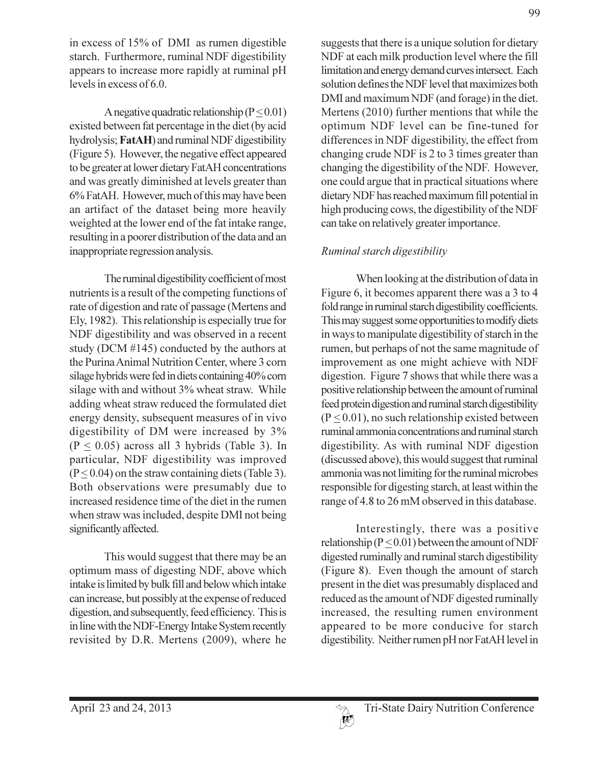in excess of 15% of DMI as rumen digestible starch. Furthermore, ruminal NDF digestibility appears to increase more rapidly at ruminal pH levels in excess of 6.0.

A negative quadratic relationship  $(P < 0.01)$ existed between fat percentage in the diet (by acid hydrolysis; FatAH) and ruminal NDF digestibility (Figure 5). However, the negative effect appeared to be greater at lower dietary FatAH concentrations and was greatly diminished at levels greater than 6% FatAH. However, much of this may have been an artifact of the dataset being more heavily weighted at the lower end of the fat intake range, resulting in a poorer distribution of the data and an inappropriate regression analysis.

The ruminal digestibility coefficient of most nutrients is a result of the competing functions of rate of digestion and rate of passage (Mertens and Ely, 1982). This relationship is especially true for NDF digestibility and was observed in a recent study (DCM  $#145$ ) conducted by the authors at the Purina Animal Nutrition Center, where 3 corn silage hybrids were fed in diets containing 40% corn silage with and without 3% wheat straw. While adding wheat straw reduced the formulated diet energy density, subsequent measures of in vivo digestibility of DM were increased by 3%  $(P \le 0.05)$  across all 3 hybrids (Table 3). In particular, NDF digestibility was improved  $(P<0.04)$  on the straw containing diets (Table 3). Both observations were presumably due to increased residence time of the diet in the rumen when straw was included, despite DMI not being significantly affected.

This would suggest that there may be an optimum mass of digesting NDF, above which intake is limited by bulk fill and below which intake can increase, but possibly at the expense of reduced digestion, and subsequently, feed efficiency. This is in line with the NDF-Energy Intake System recently revisited by D.R. Mertens (2009), where he suggests that there is a unique solution for dietary NDF at each milk production level where the fill limitation and energy demand curves intersect. Each solution defines the NDF level that maximizes both DMI and maximum NDF (and forage) in the diet. Mertens (2010) further mentions that while the optimum NDF level can be fine-tuned for differences in NDF digestibility, the effect from changing crude NDF is 2 to 3 times greater than changing the digestibility of the NDF. However, one could argue that in practical situations where dietary NDF has reached maximum fill potential in high producing cows, the digestibility of the NDF can take on relatively greater importance.

# Ruminal starch digestibility

When looking at the distribution of data in Figure 6, it becomes apparent there was a 3 to 4 fold range in ruminal starch digestibility coefficients. This may suggest some opportunities to modify diets in ways to manipulate digestibility of starch in the rumen, but perhaps of not the same magnitude of improvement as one might achieve with NDF digestion. Figure 7 shows that while there was a positive relationship between the amount of ruminal feed protein digestion and ruminal starch digestibility  $(P \le 0.01)$ , no such relationship existed between ruminal ammonia concentrations and ruminal starch digestibility. As with ruminal NDF digestion (discussed above), this would suggest that ruminal ammonia was not limiting for the ruminal microbes responsible for digesting starch, at least within the range of 4.8 to 26 mM observed in this database.

Interestingly, there was a positive relationship ( $P \le 0.01$ ) between the amount of NDF digested ruminally and ruminal starch digestibility (Figure 8). Even though the amount of starch present in the diet was presumably displaced and reduced as the amount of NDF digested ruminally increased, the resulting rumen environment appeared to be more conducive for starch digestibility. Neither rumen pH nor FatAH level in

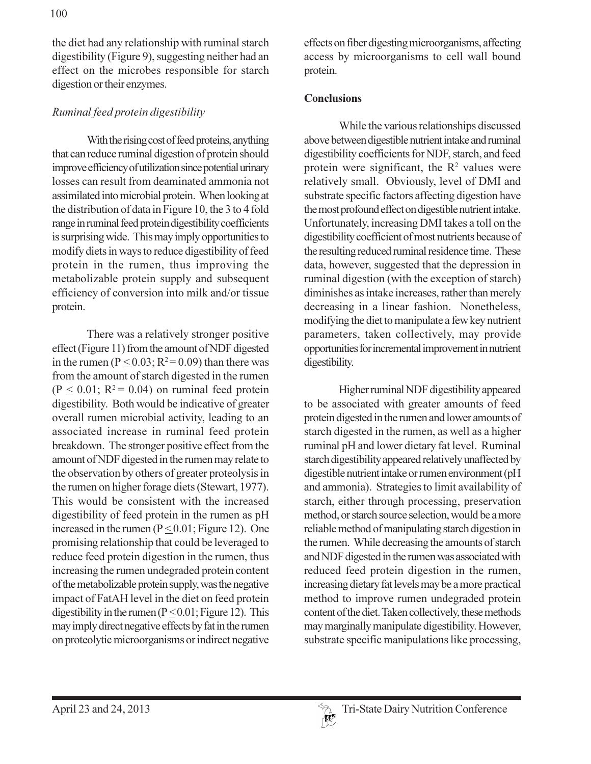the diet had any relationship with ruminal starch digestibility (Figure 9), suggesting neither had an effect on the microbes responsible for starch digestion or their enzymes.

## Ruminal feed protein digestibility

With the rising cost of feed proteins, anything that can reduce ruminal digestion of protein should improve efficiency of utilization since potential urinary losses can result from deaminated ammonia not assimilated into microbial protein. When looking at the distribution of data in Figure 10, the 3 to 4 fold range in ruminal feed protein digestibility coefficients is surprising wide. This may imply opportunities to modify diets in ways to reduce digestibility of feed protein in the rumen, thus improving the metabolizable protein supply and subsequent efficiency of conversion into milk and/or tissue protein.

There was a relatively stronger positive effect (Figure 11) from the amount of NDF digested in the rumen ( $P \le 0.03$ ;  $R^2 = 0.09$ ) than there was from the amount of starch digested in the rumen  $(P \le 0.01; R^2 = 0.04)$  on ruminal feed protein digestibility. Both would be indicative of greater overall rumen microbial activity, leading to an associated increase in ruminal feed protein breakdown. The stronger positive effect from the amount of NDF digested in the rumen may relate to the observation by others of greater proteolysis in the rumen on higher forage diets (Stewart, 1977). This would be consistent with the increased digestibility of feed protein in the rumen as pH increased in the rumen ( $P \le 0.01$ ; Figure 12). One promising relationship that could be leveraged to reduce feed protein digestion in the rumen, thus increasing the rumen undegraded protein content of the metabolizable protein supply, was the negative impact of FatAH level in the diet on feed protein digestibility in the rumen ( $P \le 0.01$ ; Figure 12). This may imply direct negative effects by fat in the rumen on proteolytic microorganisms or indirect negative

effects on fiber digesting microorganisms, affecting access by microorganisms to cell wall bound protein.

### **Conclusions**

While the various relationships discussed above between digestible nutrient intake and ruminal digestibility coefficients for NDF, starch, and feed protein were significant, the  $R^2$  values were relatively small. Obviously, level of DMI and substrate specific factors affecting digestion have the most profound effect on digestible nutrient intake. Unfortunately, increasing DMI takes a toll on the digestibility coefficient of most nutrients because of the resulting reduced ruminal residence time. These data, however, suggested that the depression in ruminal digestion (with the exception of starch) diminishes as intake increases, rather than merely decreasing in a linear fashion. Nonetheless, modifying the diet to manipulate a few key nutrient parameters, taken collectively, may provide opportunities for incremental improvement in nutrient digestibility.

Higher ruminal NDF digestibility appeared to be associated with greater amounts of feed protein digested in the rumen and lower amounts of starch digested in the rumen, as well as a higher ruminal pH and lower dietary fat level. Ruminal starch digestibility appeared relatively unaffected by digestible nutrient intake or rumen environment (pH and ammonia). Strategies to limit availability of starch, either through processing, preservation method, or starch source selection, would be a more reliable method of manipulating starch digestion in the rumen. While decreasing the amounts of starch and NDF digested in the rumen was associated with reduced feed protein digestion in the rumen, increasing dietary fat levels may be a more practical method to improve rumen undegraded protein content of the diet. Taken collectively, these methods may marginally manipulate digestibility. However, substrate specific manipulations like processing,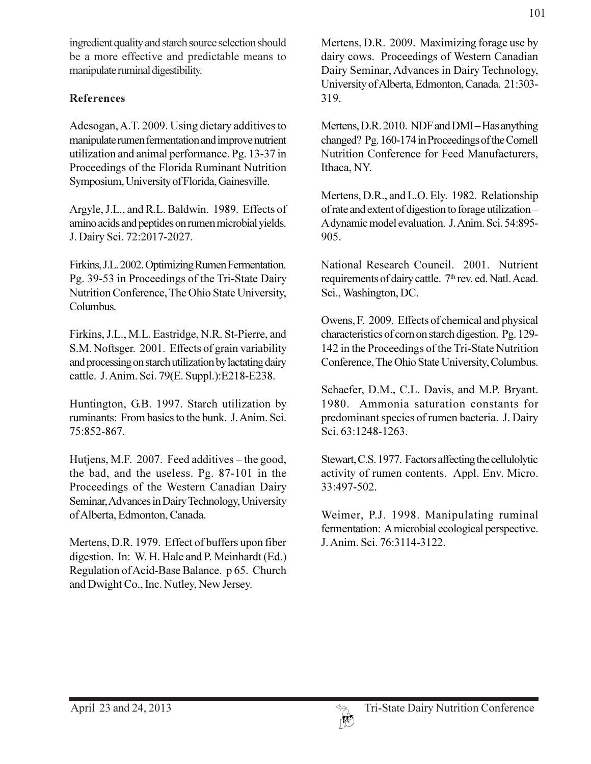ingredient quality and starch source selection should be a more effective and predictable means to manipulate ruminal digestibility.

# **References**

Adesogan, A.T. 2009. Using dietary additives to manipulate rumen fermentation and improve nutrient utilization and animal performance. Pg. 13-37 in Proceedings of the Florida Ruminant Nutrition Symposium, University of Florida, Gainesville.

Argyle, J.L., and R.L. Baldwin. 1989. Effects of amino acids and peptides on rumen microbial yields. J. Dairy Sci. 72:2017-2027.

Firkins, J.L. 2002. Optimizing Rumen Fermentation. Pg. 39-53 in Proceedings of the Tri-State Dairy Nutrition Conference, The Ohio State University, Columbus.

Firkins, J.L., M.L. Eastridge, N.R. St-Pierre, and S.M. Noftsger. 2001. Effects of grain variability and processing on starch utilization by lactating dairy cattle. J. Anim. Sci. 79(E. Suppl.): E218-E238.

Huntington, G.B. 1997. Starch utilization by ruminants: From basics to the bunk. J. Anim. Sci. 75:852-867.

Hutjens, M.F. 2007. Feed additives – the good, the bad, and the useless. Pg. 87-101 in the Proceedings of the Western Canadian Dairy Seminar, Advances in Dairy Technology, University of Alberta, Edmonton, Canada.

Mertens, D.R. 1979. Effect of buffers upon fiber digestion. In: W. H. Hale and P. Meinhardt (Ed.) Regulation of Acid-Base Balance. p 65. Church and Dwight Co., Inc. Nutley, New Jersey.

Mertens, D.R. 2010. NDF and DMI-Has anything changed? Pg. 160-174 in Proceedings of the Cornell Nutrition Conference for Feed Manufacturers, Ithaca, NY.

Mertens, D.R., and L.O. Ely. 1982. Relationship of rate and extent of digestion to forage utilization-A dynamic model evaluation. J. Anim. Sci. 54:895-905.

National Research Council. 2001. Nutrient requirements of dairy cattle. 7th rev. ed. Natl. Acad. Sci., Washington, DC.

Owens, F. 2009. Effects of chemical and physical characteristics of corn on starch digestion. Pg. 129-142 in the Proceedings of the Tri-State Nutrition Conference, The Ohio State University, Columbus.

Schaefer, D.M., C.L. Davis, and M.P. Bryant. 1980. Ammonia saturation constants for predominant species of rumen bacteria. J. Dairy Sci. 63:1248-1263.

Stewart, C.S. 1977. Factors affecting the cellulolytic activity of rumen contents. Appl. Env. Micro. 33:497-502.

Weimer, P.J. 1998. Manipulating ruminal fermentation: A microbial ecological perspective. J. Anim. Sci. 76:3114-3122.

 $\lceil \! \lceil \! \rceil^{k} \rceil$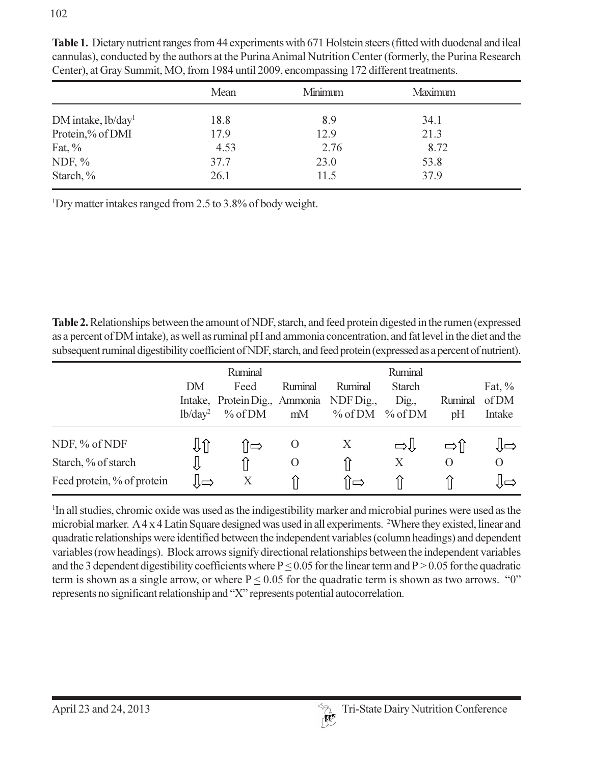|                                | Mean | Minimum | Maximum |  |  |
|--------------------------------|------|---------|---------|--|--|
| DM intake, lb/day <sup>1</sup> | 18.8 | 8.9     | 34.1    |  |  |
| Protein,% of DMI               | 17.9 | 12.9    | 21.3    |  |  |
| Fat, $\%$                      | 4.53 | 2.76    | 8.72    |  |  |
| NDF, $\%$                      | 37.7 | 23.0    | 53.8    |  |  |
| Starch, %                      | 26.1 | 11.5    | 37.9    |  |  |

Table 1. Dietary nutrient ranges from 44 experiments with 671 Holstein steers (fitted with duodenal and ileal cannulas), conducted by the authors at the Purina Animal Nutrition Center (formerly, the Purina Research Center), at Gray Summit, MO, from 1984 until 2009, encompassing 172 different treatments.

<sup>1</sup>Dry matter intakes ranged from 2.5 to 3.8% of body weight.

Table 2. Relationships between the amount of NDF, starch, and feed protein digested in the rumen (expressed as a percent of DM intake), as well as ruminal pH and ammonia concentration, and fat level in the diet and the subsequent ruminal digestibility coefficient of NDF, starch, and feed protein (expressed as a percent of nutrient).

|                                                                    | DM<br>1b/day <sup>2</sup> | Ruminal<br>Feed<br>Intake, Protein Dig., Ammonia<br>% of DM | Ruminal<br>mM | Ruminal<br>NDF Dig.,<br>$\%$ of DM | Ruminal<br><b>Starch</b><br>$\sum_{i=1}^{n}$<br>% of DM | Ruminal<br>pH | Fat, $\%$<br>of DM<br>Intake |
|--------------------------------------------------------------------|---------------------------|-------------------------------------------------------------|---------------|------------------------------------|---------------------------------------------------------|---------------|------------------------------|
| NDF, % of NDF<br>Starch, % of starch<br>Feed protein, % of protein | IJÎ<br>Į                  | ſ⇔<br>X                                                     | $\cup$<br>O   | X<br>íì⇔                           | راډ⇒<br>X                                               | $\Omega$      | l∫⇔<br>$\Omega$              |

<sup>1</sup>In all studies, chromic oxide was used as the indigestibility marker and microbial purines were used as the microbial marker. A 4 x 4 Latin Square designed was used in all experiments. <sup>2</sup>Where they existed, linear and quadratic relationships were identified between the independent variables (column headings) and dependent variables (row headings). Block arrows signify directional relationships between the independent variables and the 3 dependent digestibility coefficients where  $P \le 0.05$  for the linear term and  $P > 0.05$  for the quadratic term is shown as a single arrow, or where  $P \le 0.05$  for the quadratic term is shown as two arrows. "0" represents no significant relationship and "X" represents potential autocorrelation.

 $\mathbb{R}^2$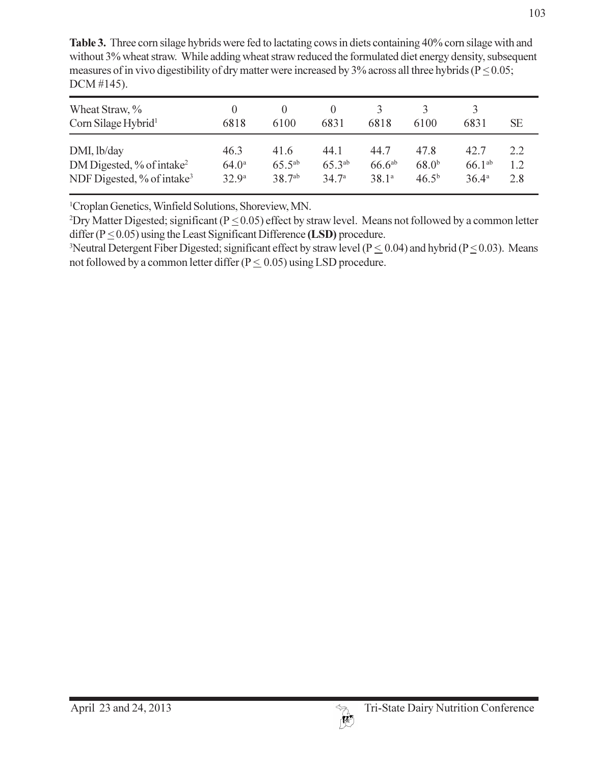| Wheat Straw, %<br>Corn Silage Hybrid <sup>1</sup> | $\theta$<br>6818  | 6100               | 6831              | 6818               | 6100       | 6831           | SЕ  |
|---------------------------------------------------|-------------------|--------------------|-------------------|--------------------|------------|----------------|-----|
| DMI, lb/day                                       | 46.3              | 41.6               | 44.1              | 44.7               | 47.8       | 42.7           | 2.2 |
| DM Digested, $\%$ of intake <sup>2</sup>          | $64.0^{\circ}$    | $65.5^{ab}$        | $65.3^{ab}$       | 66.6a <sup>b</sup> | $68.0^{b}$ | $66.1^{ab}$    | 1.2 |
| NDF Digested, % of intake <sup>3</sup>            | 32.9 <sup>a</sup> | 38.7 <sup>ab</sup> | 34.7 <sup>a</sup> | 38.1 <sup>a</sup>  | $46.5^{b}$ | $36.4^{\circ}$ | 2.8 |

Table 3. Three corn silage hybrids were fed to lactating cows in diets containing 40% corn silage with and without 3% wheat straw. While adding wheat straw reduced the formulated diet energy density, subsequent measures of in vivo digestibility of dry matter were increased by 3% across all three hybrids ( $P \le 0.05$ ;  $DCM \#145$ ).

<sup>1</sup>Croplan Genetics, Winfield Solutions, Shoreview, MN.

<sup>2</sup>Dry Matter Digested; significant ( $P < 0.05$ ) effect by straw level. Means not followed by a common letter differ ( $P \le 0.05$ ) using the Least Significant Difference (LSD) procedure.

<sup>3</sup>Neutral Detergent Fiber Digested; significant effect by straw level ( $P \le 0.04$ ) and hybrid ( $P \le 0.03$ ). Means not followed by a common letter differ ( $P \le 0.05$ ) using LSD procedure.

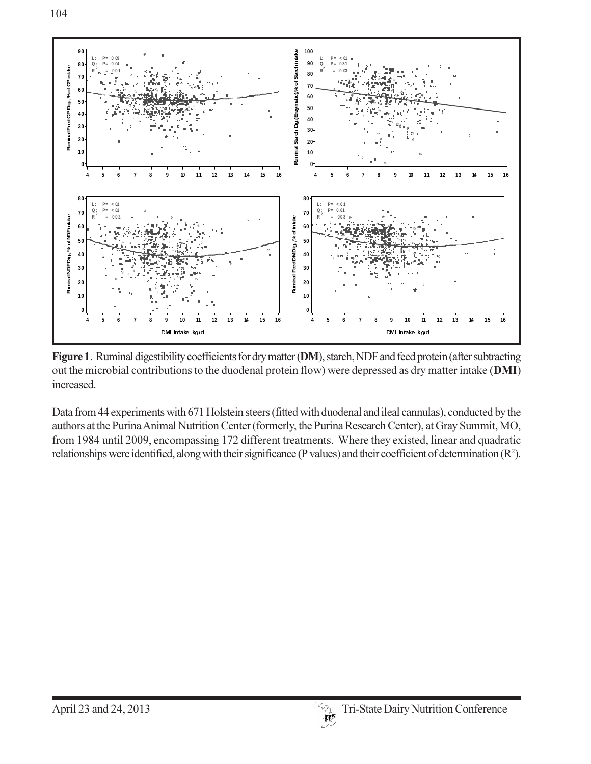



Figure 1. Ruminal digestibility coefficients for dry matter (DM), starch, NDF and feed protein (after subtracting out the microbial contributions to the duodenal protein flow) were depressed as dry matter intake (DMI) increased.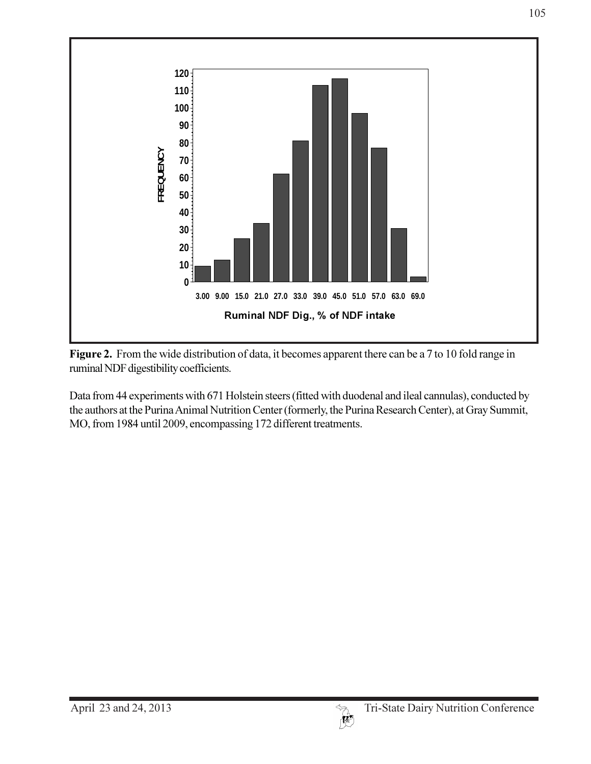

Figure 2. From the wide distribution of data, it becomes apparent there can be a 7 to 10 fold range in ruminal NDF digestibility coefficients.

Data from 44 experiments with 671 Holstein steers (fitted with duodenal and ileal cannulas), conducted by the authors at the Purina Animal Nutrition Center (formerly, the Purina Research Center), at Gray Summit, MO, from 1984 until 2009, encompassing 172 different treatments.

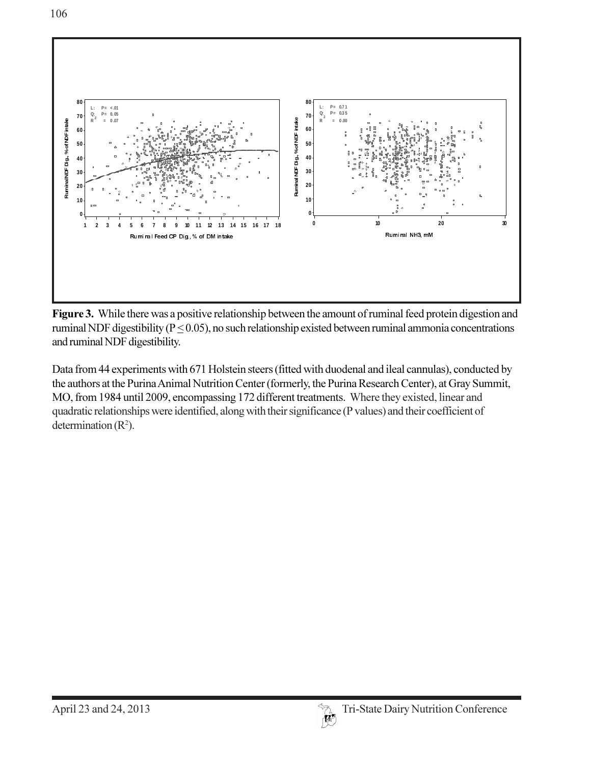

and ruminal NDF digestibility. **Figure 3.** While there was a positiv<br>
ruminal NDF digestibility ( $P \le 0.05$ )<br>
and ruminal NDF digestibility.<br>
Data from 44 experiments with 671 ruminal NDF digestibility ( $P \leq 0.05$ ), no such relationship existed between ruminal ammonia concentration

eriments with 671 Holstein steers (fitted with duodenal and ileal cannulas), conducted by and ruminal NDF digestibility.<br>Data from 44 experiments with 671 Holstein steers (fitted with duodenal and ileal cannulas), conduct<br>the authors at the Purina Animal Nutrition Center (formerly, the Purina Research Center), quadratic relationships were identified, along with their significance (P values) and their coefficient of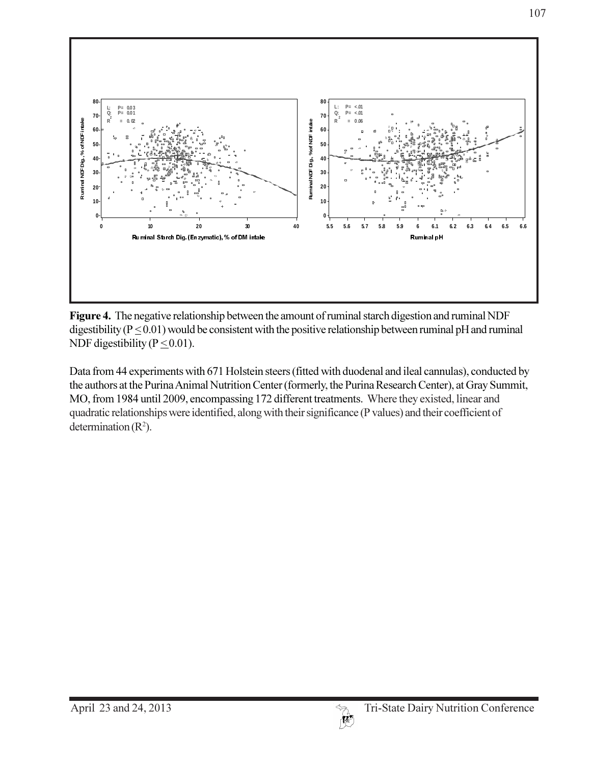

Figure 4. The negative relationship between the amount of ruminal starch digestion and ruminal NDF digestibility ( $P \le 0.01$ ) would be consistent with the positive relationship between ruminal pH and ruminal NDF digestibility ( $P \le 0.01$ ).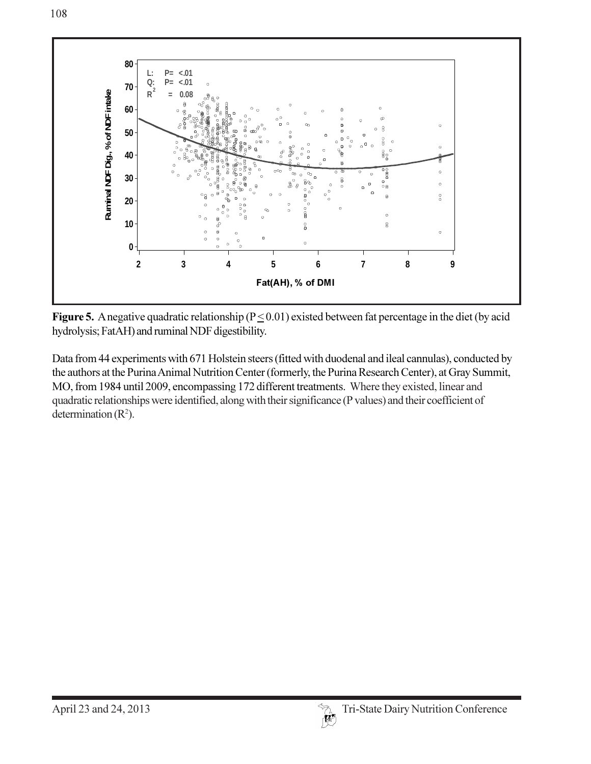

Figure 5. A negative quadratic relationship ( $P \le 0.01$ ) existed between fat percentage in the diet (by acid hydrolysis; FatAH) and ruminal NDF digestibility.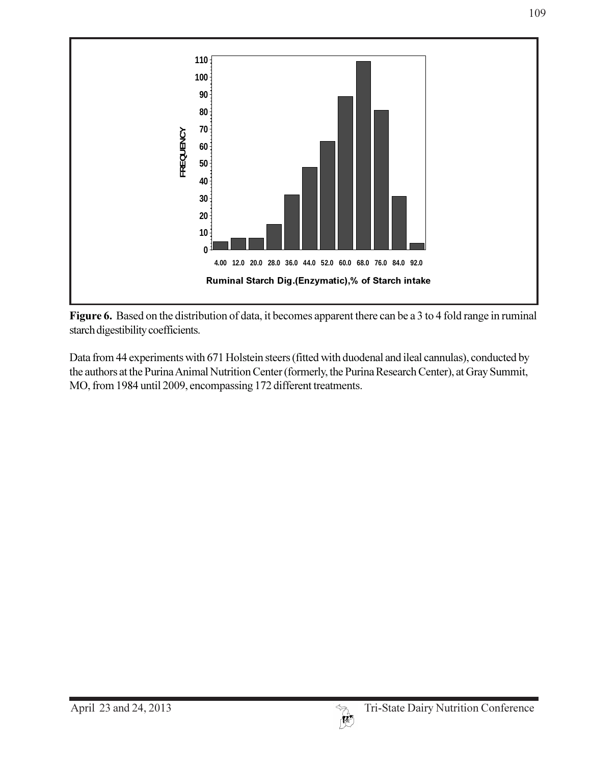

Figure 6. Based on the distribution of data, it becomes apparent there can be a 3 to 4 fold range in ruminal starch digestibility coefficients.

Data from 44 experiments with 671 Holstein steers (fitted with duodenal and ileal cannulas), conducted by the authors at the Purina Animal Nutrition Center (formerly, the Purina Research Center), at Gray Summit, MO, from 1984 until 2009, encompassing 172 different treatments.

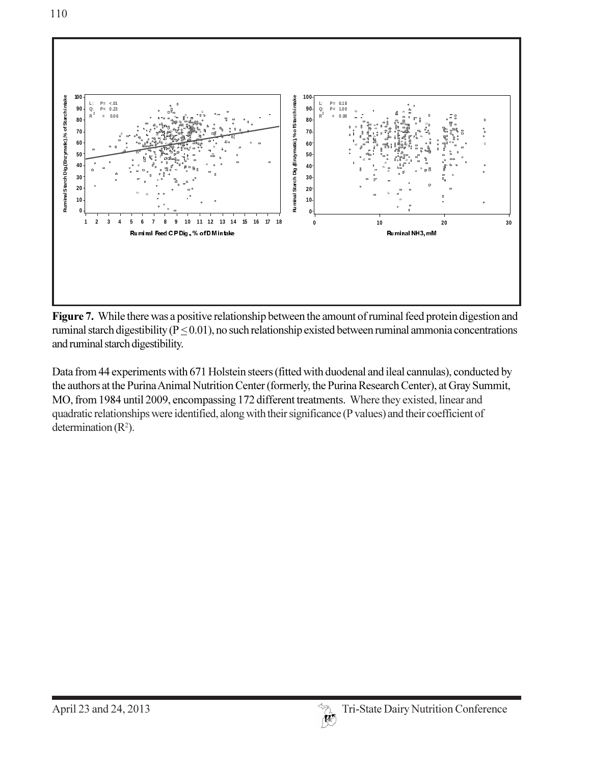

Figure 7. While there was a positive relationship between the amount of ruminal feed protein digestion and ruminal starch digestibility ( $P \le 0.01$ ), no such relationship existed between ruminal ammonia concentrations and ruminal starch digestibility.

 $R^2$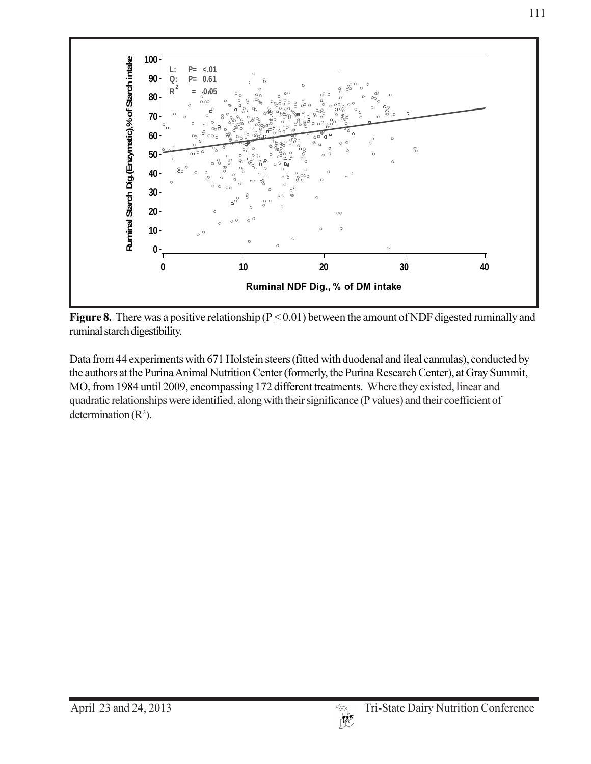

Figure 8. There was a positive relationship ( $P \le 0.01$ ) between the amount of NDF digested ruminally and ruminal starch digestibility.

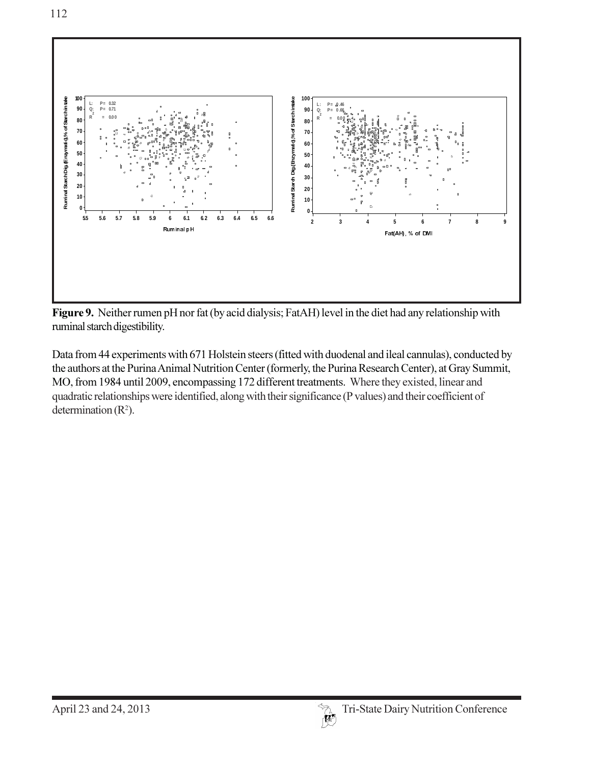

Figure 9. Neither rumen pH nor fat (by acid dialysis; FatAH) level in the diet had any relationship with ruminal starch digestibility.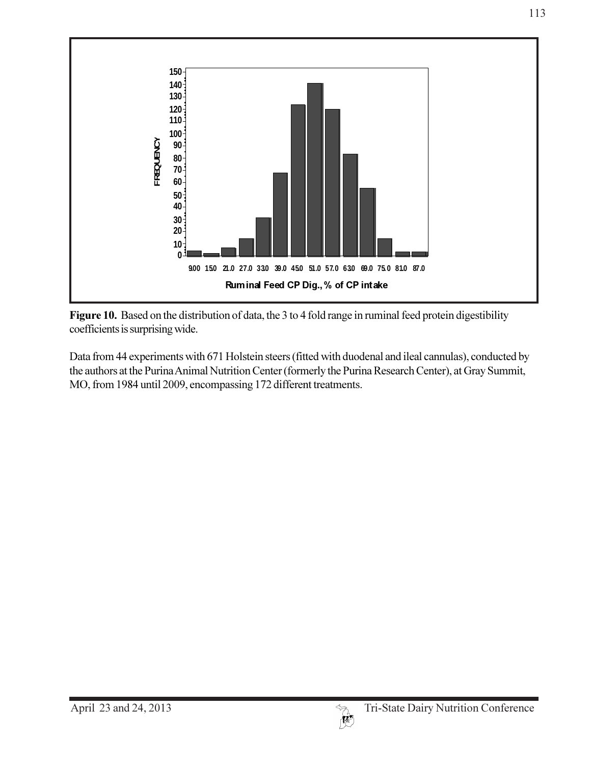

Figure 10. Based on the distribution of data, the 3 to 4 fold range in ruminal feed protein digestibility coefficients is surprising wide.

Data from 44 experiments with 671 Holstein steers (fitted with duodenal and ileal cannulas), conducted by the authors at the Purina Animal Nutrition Center (formerly the Purina Research Center), at Gray Summit, MO, from 1984 until 2009, encompassing 172 different treatments.

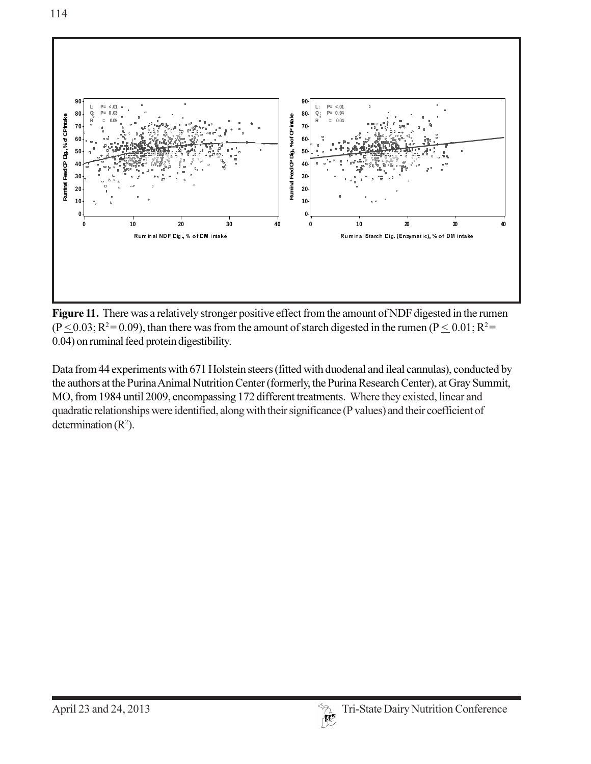

Figure 11. There was a relatively stronger positive effect from the amount of NDF digested in the rumen  $(P \le 0.03; R^2 = 0.09)$ , than there was from the amount of starch digested in the rumen  $(P \le 0.01; R^2 = 0.01)$ 0.04) on ruminal feed protein digestibility.